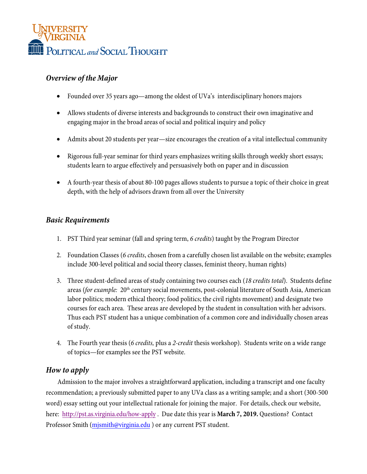

# *Overview of the Major*

- Founded over 35 years ago—among the oldest of UVa's interdisciplinary honors majors
- Allows students of diverse interests and backgrounds to construct their own imaginative and engaging major in the broad areas of social and political inquiry and policy
- Admits about 20 students per year—size encourages the creation of a vital intellectual community
- Rigorous full-year seminar for third years emphasizes writing skills through weekly short essays; students learn to argue effectively and persuasively both on paper and in discussion
- A fourth-year thesis of about 80-100 pages allows students to pursue a topic of their choice in great depth, with the help of advisors drawn from all over the University

# *Basic Requirements*

- 1. PST Third year seminar (fall and spring term, *6 credits*) taught by the Program Director
- 2. Foundation Classes (*6 credits*, chosen from a carefully chosen list available on the website; examples include 300-level political and social theory classes, feminist theory, human rights)
- 3. Three student-defined areas of study containing two courses each (*18 credits total*). Students define areas (*for example:* 20<sup>th</sup> century social movements, post-colonial literature of South Asia, American labor politics; modern ethical theory; food politics; the civil rights movement) and designate two courses for each area. These areas are developed by the student in consultation with her advisors. Thus each PST student has a unique combination of a common core and individually chosen areas of study.
- 4. The Fourth year thesis (*6 credits,* plus a *2-credit* thesis workshop). Students write on a wide range of topics—for examples see the PST website.

# *How to apply*

Admission to the major involves a straightforward application, including a transcript and one faculty recommendation; a previously submitted paper to any UVa class as a writing sample; and a short (300-500 word) essay setting out your intellectual rationale for joining the major. For details, check our website, here: [http://pst.as.virginia.edu/how-apply](http://pages.shanti.virginia.edu/pst/the-major/apply/) . Due date this year is **March 7, 2019.** Questions? Contact Professor Smith (mjsmith@virginia.edu [\) or any current PST](mailto:mjsmith@virginia.edu) student.